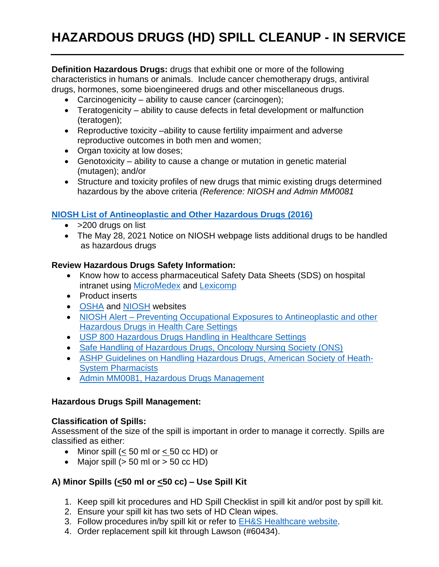**Definition Hazardous Drugs:** drugs that exhibit one or more of the following characteristics in humans or animals. Include cancer chemotherapy drugs, antiviral drugs, hormones, some bioengineered drugs and other miscellaneous drugs.

- Carcinogenicity ability to cause cancer (carcinogen);
- Teratogenicity ability to cause defects in fetal development or malfunction (teratogen);
- Reproductive toxicity –ability to cause fertility impairment and adverse reproductive outcomes in both men and women;
- Organ toxicity at low doses;
- Genotoxicity ability to cause a change or mutation in genetic material (mutagen); and/or
- Structure and toxicity profiles of new drugs that mimic existing drugs determined hazardous by the above criteria *(Reference: NIOSH and Admin MM0081*

## **[NIOSH List of Antineoplastic and Other Hazardous Drugs \(2016\)](https://www.cdc.gov/niosh/docs/2016-161/default.html)**

- > 200 drugs on list
- The May 28, 2021 Notice on NIOSH webpage lists additional drugs to be handled as hazardous drugs

### **Review Hazardous Drugs Safety Information:**

- Know how to access pharmaceutical Safety Data Sheets (SDS) on hospital intranet using [MicroMedex](https://www.micromedexsolutions.com/micromedex2/librarian/) and [Lexicomp](http://www.drugmsds.com/?source=http://online.lexi.com)
- Product inserts
- [OSHA](https://www.osha.gov/hazardous-drugs) and [NIOSH](https://www.cdc.gov/niosh/topics/hazdrug/default.html) websites
- NIOSH Alert Preventing Occupational Exposures to Antineoplastic and other [Hazardous Drugs in Health Care Settings](https://www.cdc.gov/niosh/docs/2004-165/default.html)
- USP [800 Hazardous Drugs Handling in Healthcare Settings](https://www.usp.org/compounding/general-chapter-hazardous-drugs-handling-healthcare)
- [Safe Handling of Hazardous Drugs, Oncology Nursing Society \(ONS\)](https://www.ons.org/learning-libraries/safe-handling-hazardous-drugs)
- [ASHP Guidelines on Handling Hazardous Drugs, American Society of Heath-](https://www.ashp.org/-/media/assets/policy-guidelines/docs/guidelines/handling-hazardous-drugs.ashx)[System Pharmacists](https://www.ashp.org/-/media/assets/policy-guidelines/docs/guidelines/handling-hazardous-drugs.ashx)
- [Admin MM0081, Hazardous Drugs Management](https://sbuh.policytech.com/dotNet/documents/?docid=24046)

### **Hazardous Drugs Spill Management:**

### **Classification of Spills:**

Assessment of the size of the spill is important in order to manage it correctly. Spills are classified as either:

- Minor spill  $(< 50$  ml or  $< 50$  cc HD) or
- Major spill  $(> 50 \text{ ml or } > 50 \text{ cc HD})$

# **A) Minor Spills (<50 ml or <50 cc) – Use Spill Kit**

- 1. Keep spill kit procedures and HD Spill Checklist in spill kit and/or post by spill kit.
- 2. Ensure your spill kit has two sets of HD Clean wipes.
- 3. Follow procedures in/by spill kit or refer to [EH&S Healthcare website.](https://ehs.stonybrook.edu/programs/healthcare-safety/HD%20Chemo%20Minor%20Clean%20Up%20Procedures%202022.pdf)
- 4. Order replacement spill kit through Lawson (#60434).